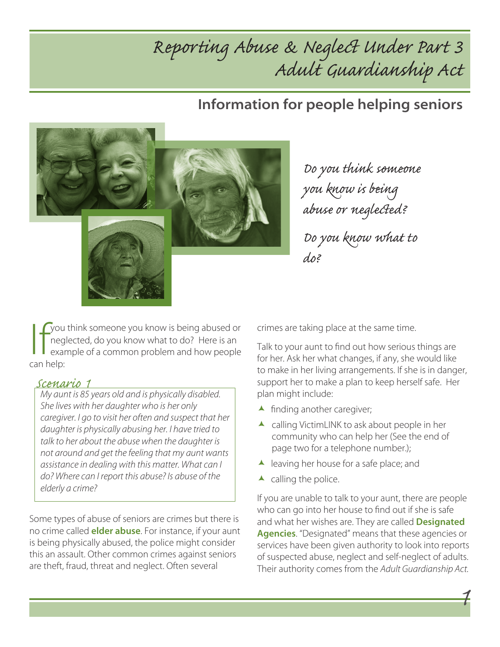## Reporting Abuse & Neglect Under Part 3 Adult Guardianship Act

### Information for people helping seniors



Do you think someone you know is being abuse or neglected?

Do you know what to do?

Sou think someone you know is being abused or<br>
neglected, do you know what to do? Here is an<br>
example of a common problem and how people<br>
can help: neglected, do you know what to do? Here is an example of a common problem and how people can help:

#### Scenario 1

My aunt is 85 years old and is physically disabled. She lives with her daughter who is her only caregiver. I go to visit her often and suspect that her daughter is physically abusing her. I have tried to talk to her about the abuse when the daughter is not around and get the feeling that my aunt wants assistance in dealing with this matter. What can I do? Where can I report this abuse? Is abuse of the elderly a crime?

Some types of abuse of seniors are crimes but there is no crime called **elder abuse**. For instance, if your aunt is being physically abused, the police might consider this an assault. Other common crimes against seniors are theft, fraud, threat and neglect. Often several

crimes are taking place at the same time.

Talk to your aunt to find out how serious things are for her. Ask her what changes, if any, she would like to make in her living arrangements. If she is in danger, support her to make a plan to keep herself safe. Her plan might include:

- $\blacktriangle$  finding another caregiver;
- $\blacktriangle$  calling VictimLINK to ask about people in her community who can help her (See the end of page two for a telephone number.);
- $\blacktriangle$  leaving her house for a safe place; and
- $\blacktriangle$  calling the police.

If you are unable to talk to your aunt, there are people who can go into her house to find out if she is safe and what her wishes are. They are called **Designated** Agencies. "Designated" means that these agencies or services have been given authority to look into reports of suspected abuse, neglect and self-neglect of adults. Their authority comes from the Adult Guardianship Act.

1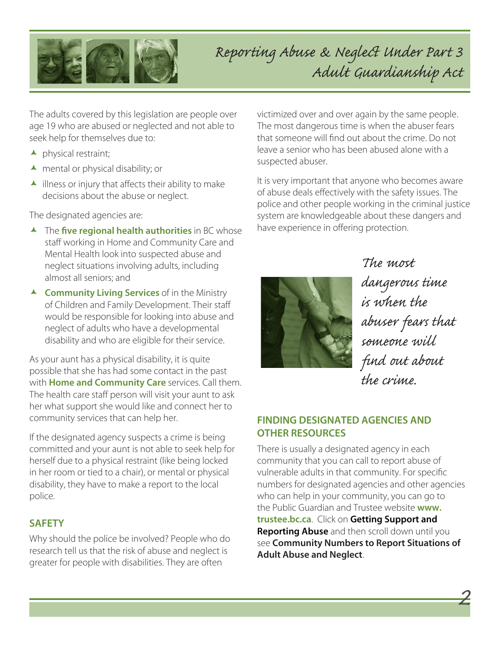

## Reporting Abuse & Neglect Under Part 3 Adult Guardianship Act

The adults covered by this legislation are people over age 19 who are abused or neglected and not able to seek help for themselves due to:

- $\blacktriangle$  physical restraint;
- $\blacktriangle$  mental or physical disability; or
- $\blacktriangle$  illness or injury that affects their ability to make decisions about the abuse or neglect.

The designated agencies are:

- $\blacktriangle$  The five regional health authorities in BC whose staff working in Home and Community Care and Mental Health look into suspected abuse and neglect situations involving adults, including almost all seniors; and
- $\triangle$  Community Living Services of in the Ministry of Children and Family Development. Their staff would be responsible for looking into abuse and neglect of adults who have a developmental disability and who are eligible for their service.

As your aunt has a physical disability, it is quite possible that she has had some contact in the past with **Home and Community Care** services. Call them. The health care staff person will visit your aunt to ask her what support she would like and connect her to community services that can help her.

If the designated agency suspects a crime is being committed and your aunt is not able to seek help for herself due to a physical restraint (like being locked in her room or tied to a chair), or mental or physical disability, they have to make a report to the local police.

#### **SAFETY**

Why should the police be involved? People who do research tell us that the risk of abuse and neglect is greater for people with disabilities. They are often

victimized over and over again by the same people. The most dangerous time is when the abuser fears that someone will find out about the crime. Do not leave a senior who has been abused alone with a suspected abuser.

It is very important that anyone who becomes aware of abuse deals effectively with the safety issues. The police and other people working in the criminal justice system are knowledgeable about these dangers and have experience in offering protection.



The most dangerous time is when the abuser fears that someone will find out about the crime.

2

#### FINDING DESIGNATED AGENCIES AND OTHER RESOURCES

There is usually a designated agency in each community that you can call to report abuse of vulnerable adults in that community. For specific numbers for designated agencies and other agencies who can help in your community, you can go to the Public Guardian and Trustee website www. trustee.bc.ca. Click on Getting Support and Reporting Abuse and then scroll down until you see Community Numbers to Report Situations of Adult Abuse and Neglect.